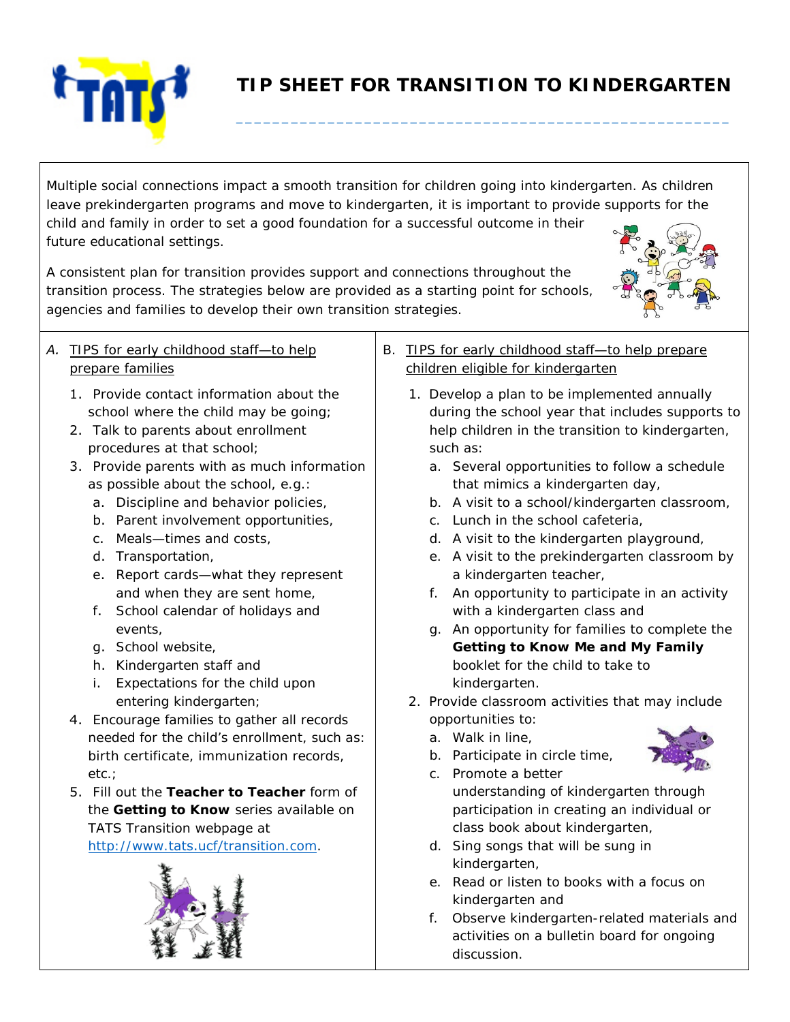

## **TIP SHEET FOR TRANSITION TO KINDERGARTEN**

**\_\_\_\_\_\_\_\_\_\_\_\_\_\_\_\_\_\_\_\_\_\_\_\_\_\_\_\_\_\_\_\_\_\_\_\_\_\_\_\_\_\_\_\_\_\_\_\_\_\_\_\_\_\_** 

Multiple social connections impact a smooth transition for children going into kindergarten. As children leave prekindergarten programs and move to kindergarten, it is important to provide supports for the child and family in order to set a good foundation for a successful outcome in their future educational settings.

A consistent plan for transition provides support and connections throughout the transition process. The strategies below are provided as a starting point for schools, agencies and families to develop their own transition strategies.



## *A. TIPS for early childhood staff—to help prepare families*

- 1. Provide contact information about the school where the child may be going;
- 2. Talk to parents about enrollment procedures at that school;
- 3. Provide parents with as much information as possible about the school, e.g.:
	- a. Discipline and behavior policies,
	- b. Parent involvement opportunities,
	- c. Meals—times and costs,
	- d. Transportation,
	- e. Report cards—what they represent and when they are sent home,
	- f. School calendar of holidays and events,
	- g. School website,
	- h. Kindergarten staff and
	- i. Expectations for the child upon entering kindergarten;
- 4. Encourage families to gather all records needed for the child's enrollment, such as: birth certificate, immunization records, etc.;
- 5. Fill out the *Teacher to Teacher* form of the *Getting to Know* series available on TATS Transition webpage at http://www.[tats.ucf/transition](https://tats.ucf.edu/transition/).com.



- *B. TIPS for early childhood staff—to help prepare children eligible for kindergarten*
	- 1. Develop a plan to be implemented annually during the school year that includes supports to help children in the transition to kindergarten, such as:
		- a. Several opportunities to follow a schedule that mimics a kindergarten day,
		- b. A visit to a school/kindergarten classroom,
		- c. Lunch in the school cafeteria,
		- d. A visit to the kindergarten playground,
		- e. A visit to the prekindergarten classroom by a kindergarten teacher,
		- f. An opportunity to participate in an activity with a kindergarten class and
		- g. An opportunity for families to complete the *Getting to Know Me and My Family* booklet for the child to take to kindergarten.
	- 2. Provide classroom activities that may include opportunities to:
		- a. Walk in line,



- b. Participate in circle time,
- c. Promote a better understanding of kindergarten through participation in creating an individual or class book about kindergarten,
- d. Sing songs that will be sung in kindergarten,
- e. Read or listen to books with a focus on kindergarten and
- f. Observe kindergarten-related materials and activities on a bulletin board for ongoing discussion.